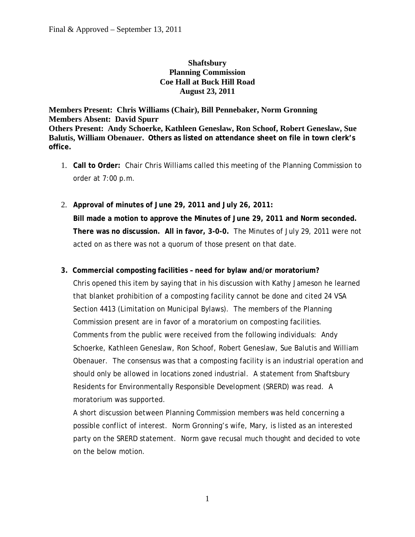### **Shaftsbury Planning Commission Coe Hall at Buck Hill Road August 23, 2011**

#### **Members Present: Chris Williams (Chair), Bill Pennebaker, Norm Gronning Members Absent: David Spurr Others Present: Andy Schoerke, Kathleen Geneslaw, Ron Schoof, Robert Geneslaw, Sue Balutis, William Obenauer. Others as listed on attendance sheet on file in town clerk's office.**

- 1. **Call to Order:** Chair Chris Williams called this meeting of the Planning Commission to order at 7:00 p.m.
- 2. **Approval of minutes of June 29, 2011 and July 26, 2011: Bill made a motion to approve the Minutes of June 29, 2011 and Norm seconded. There was no discussion. All in favor, 3-0-0.** The Minutes of July 29, 2011 were not acted on as there was not a quorum of those present on that date.

#### **3. Commercial composting facilities – need for bylaw and/or moratorium?**

Chris opened this item by saying that in his discussion with Kathy Jameson he learned that blanket prohibition of a composting facility cannot be done and cited 24 VSA Section 4413 (Limitation on Municipal Bylaws). The members of the Planning Commission present are in favor of a moratorium on composting facilities. Comments from the public were received from the following individuals: Andy Schoerke, Kathleen Geneslaw, Ron Schoof, Robert Geneslaw, Sue Balutis and William Obenauer. The consensus was that a composting facility is an industrial operation and should only be allowed in locations zoned industrial. A statement from Shaftsbury Residents for Environmentally Responsible Development (SRERD) was read. A moratorium was supported.

A short discussion between Planning Commission members was held concerning a possible conflict of interest. Norm Gronning's wife, Mary, is listed as an interested party on the SRERD statement. Norm gave recusal much thought and decided to vote on the below motion.

1